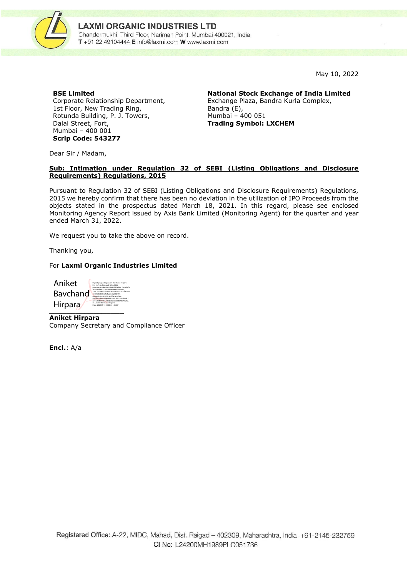

May 10, 2022

## **BSE Limited**

Corporate Relationship Department, 1st Floor, New Trading Ring, Rotunda Building, P. J. Towers, Dalal Street, Fort, Mumbai – 400 001 **Scrip Code: 543277**

**National Stock Exchange of India Limited** Exchange Plaza, Bandra Kurla Complex, Bandra (E), Mumbai – 400 051 **Trading Symbol: LXCHEM**

Dear Sir / Madam,

### **Sub: Intimation under Regulation 32 of SEBI (Listing Obligations and Disclosure Requirements) Regulations, 2015**

Pursuant to Regulation 32 of SEBI (Listing Obligations and Disclosure Requirements) Regulations, 2015 we hereby confirm that there has been no deviation in the utilization of IPO Proceeds from the objects stated in the prospectus dated March 18, 2021. In this regard, please see enclosed Monitoring Agency Report issued by Axis Bank Limited (Monitoring Agent) for the quarter and year ended March 31, 2022.

We request you to take the above on record.

Thanking you,

#### For **Laxmi Organic Industries Limited**

| Aniket          | Digitally signed by Aniket Bavchand Hirpara<br>DN: c=IN, o=Personal, title=3326.<br>pseudonym=6a26e4af943276d9d3ac1bc0c5ef9                                                                            |
|-----------------|--------------------------------------------------------------------------------------------------------------------------------------------------------------------------------------------------------|
| <b>Bavchand</b> | 20ace8063f4a379fa30f60a44d3b797803f.<br>2.5.4.20=8dh433ce8f1c86cc382ef3h38a166730a<br>1696fb4509336ffbffabf376256b444.<br>postalCode-401202.st-Maharashtra.<br>serialNumher=578arR60ha01564218h7h5de22 |
| Hirpara         | 3e94a93f822395c169b34d73d690d70b78a1fa.<br>cn-Aniket Baychand Hirpara<br>Date: 2022 05:10:13:00:36 +05'30"                                                                                             |

**Aniket Hirpara** Company Secretary and Compliance Officer

**Encl.**: A/a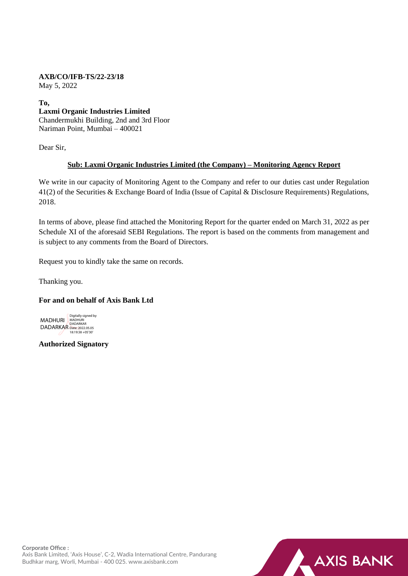# **AXB/CO/IFB-TS/22-23/18**

May 5, 2022

## **To,**

# **Laxmi Organic Industries Limited**

Chandermukhi Building, 2nd and 3rd Floor Nariman Point, Mumbai – 400021

Dear Sir,

# **Sub: Laxmi Organic Industries Limited (the Company) – Monitoring Agency Report**

We write in our capacity of Monitoring Agent to the Company and refer to our duties cast under Regulation 41(2) of the Securities & Exchange Board of India (Issue of Capital & Disclosure Requirements) Regulations, 2018.

In terms of above, please find attached the Monitoring Report for the quarter ended on March 31, 2022 as per Schedule XI of the aforesaid SEBI Regulations. The report is based on the comments from management and is subject to any comments from the Board of Directors.

Request you to kindly take the same on records.

Thanking you.

# **For and on behalf of Axis Bank Ltd**

DADARKAR DADARKAR Date: 2022.05.05 18:19:38 +05'30'Digitally signed by MADHURI

**Authorized Signatory**

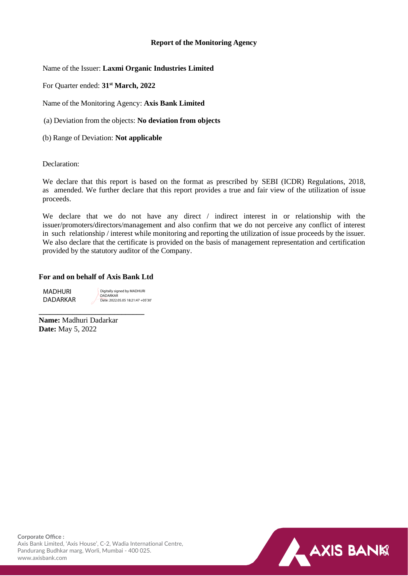# **Report of the Monitoring Agency**

Name of the Issuer: **Laxmi Organic Industries Limited**

For Quarter ended: **31st March, 2022**

Name of the Monitoring Agency: **Axis Bank Limited**

(a) Deviation from the objects: **No deviation from objects** 

(b) Range of Deviation: **Not applicable** 

Declaration:

We declare that this report is based on the format as prescribed by SEBI (ICDR) Regulations, 2018, as amended. We further declare that this report provides a true and fair view of the utilization of issue proceeds.

We declare that we do not have any direct / indirect interest in or relationship with the issuer/promoters/directors/management and also confirm that we do not perceive any conflict of interest in such relationship / interest while monitoring and reporting the utilization of issue proceeds by the issuer. We also declare that the certificate is provided on the basis of management representation and certification provided by the statutory auditor of the Company.

# **For and on behalf of Axis Bank Ltd**

MADHURI DADARKAR

Digitally signed by MADHURI **DADARKAR** Date: 2022.05.05 18:21:47 +05'30'

**\_\_\_\_\_\_\_\_\_\_\_\_\_\_\_\_\_\_\_\_\_\_\_\_\_\_\_\_ Name:** Madhuri Dadarkar **Date:** May 5, 2022



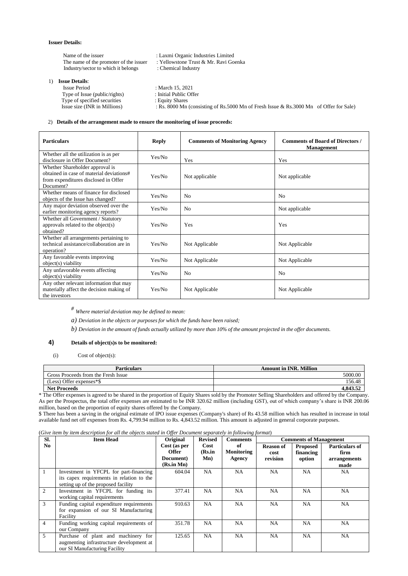#### **Issuer Details:**

| Name of the issuer                     | : Laxmi Organic Industries Limited                                                     |  |
|----------------------------------------|----------------------------------------------------------------------------------------|--|
| The name of the promoter of the issuer | : Yellowstone Trust & Mr. Ravi Goenka                                                  |  |
| Industry/sector to which it belongs    | : Chemical Industry                                                                    |  |
| <b>Issue Details:</b>                  |                                                                                        |  |
| <b>Issue Period</b>                    | : March 15, 2021                                                                       |  |
| Type of Issue (public/rights)          | : Initial Public Offer                                                                 |  |
| Type of specified securities           | : Equity Shares                                                                        |  |
| Issue size (INR in Millions)           | : Rs. 8000 Mn (consisting of Rs.5000 Mn of Fresh Issue & Rs.3000 Mn of Offer for Sale) |  |
|                                        |                                                                                        |  |

#### 2) **Details of the arrangement made to ensure the monitoring of issue proceeds:**

| <b>Particulars</b>                                                                                                               | <b>Reply</b> | <b>Comments of Monitoring Agency</b> | <b>Comments of Board of Directors /</b><br><b>Management</b> |
|----------------------------------------------------------------------------------------------------------------------------------|--------------|--------------------------------------|--------------------------------------------------------------|
| Whether all the utilization is as per<br>disclosure in Offer Document?                                                           | Yes/No       | Yes                                  | Yes                                                          |
| Whether Shareholder approval is<br>obtained in case of material deviations#<br>from expenditures disclosed in Offer<br>Document? | Yes/No       | Not applicable                       | Not applicable                                               |
| Whether means of finance for disclosed<br>objects of the Issue has changed?                                                      | Yes/No       | N <sub>0</sub>                       | N <sub>0</sub>                                               |
| Any major deviation observed over the<br>earlier monitoring agency reports?                                                      | Yes/No       | N <sub>0</sub>                       | Not applicable                                               |
| Whether all Government / Statutory<br>approvals related to the object(s)<br>obtained?                                            | Yes/No       | Yes                                  | Yes                                                          |
| Whether all arrangements pertaining to<br>technical assistance/collaboration are in<br>operation?                                | Yes/No       | Not Applicable                       | Not Applicable                                               |
| Any favorable events improving<br>$object(s)$ viability                                                                          | Yes/No       | Not Applicable                       | Not Applicable                                               |
| Any unfavorable events affecting<br>object(s) viability                                                                          | Yes/No       | N <sub>0</sub>                       | N <sub>0</sub>                                               |
| Any other relevant information that may<br>materially affect the decision making of<br>the investors                             | Yes/No       | Not Applicable                       | Not Applicable                                               |

*# Where material deviation may be defined to mean:*

*a) Deviation in the objects or purposes for which the funds have been raised;*

b) Deviation in the amount of funds actually utilized by more than 10% of the amount projected in the offer documents.

### **4) Details of object(s)s to be monitored:**

#### (i) Cost of object(s):

| <b>Particulars</b>                  | <b>Amount in INR. Million</b> |
|-------------------------------------|-------------------------------|
| Gross Proceeds from the Fresh Issue | 5000.00                       |
| $(Less)$ Offer expenses $*$         | 156.48                        |
| <b>Net Proceeds</b>                 |                               |

\* The Offer expenses is agreed to be shared in the proportion of Equity Shares sold by the Promoter Selling Shareholders and offered by the Company. As per the Prospectus, the total offer expenses are estimated to be INR 320.62 million (including GST), out of which company's share is INR 200.06 million, based on the proportion of equity shares offered by the Company.

\$ There has been a saving in the original estimate of IPO issue expenses (Company's share) of Rs 43.58 million which has resulted in increase in total available fund net off expenses from Rs. 4,799.94 million to Rs. 4,843.52 million. This amount is adjusted in general corporate purposes.

#### (*Give item by item description for all the objects stated in Offer Document separately in following format*)

| SI.            | <b>Item Head</b>                                                                                                           | Original                                                | <b>Revised</b>        | <b>Comments</b>                   |                                      | <b>Comments of Management</b>          |                                                       |  |
|----------------|----------------------------------------------------------------------------------------------------------------------------|---------------------------------------------------------|-----------------------|-----------------------------------|--------------------------------------|----------------------------------------|-------------------------------------------------------|--|
| No.            |                                                                                                                            | Cost (as per<br><b>Offer</b><br>Document)<br>(Rs.in Mn) | Cost<br>(Rs.in<br>Mn) | of<br><b>Monitoring</b><br>Agency | <b>Reason of</b><br>cost<br>revision | <b>Proposed</b><br>financing<br>option | <b>Particulars of</b><br>firm<br>arrangements<br>made |  |
| 1              | Investment in YFCPL for part-financing<br>its capex requirements in relation to the<br>setting up of the proposed facility | 604.04                                                  | NA                    | NA.                               | NA.                                  | NA.                                    | NA.                                                   |  |
| $\overline{2}$ | Investment in YFCPL for funding its<br>working capital requirements                                                        | 377.41                                                  | NA                    | NA.                               | NA.                                  | <b>NA</b>                              | NA.                                                   |  |
| 3              | Funding capital expenditure requirements<br>for expansion of our SI Manufacturing<br>Facility                              | 910.63                                                  | <b>NA</b>             | NA.                               | NA.                                  | <b>NA</b>                              | NA.                                                   |  |
| $\overline{4}$ | Funding working capital requirements of<br>our Company                                                                     | 351.78                                                  | NA                    | NA.                               | <b>NA</b>                            | <b>NA</b>                              | NA.                                                   |  |
| $\mathfrak{F}$ | Purchase of plant and machinery for<br>augmenting infrastructure development at<br>our SI Manufacturing Facility           | 125.65                                                  | NA.                   | NA.                               | NA.                                  | <b>NA</b>                              | NA                                                    |  |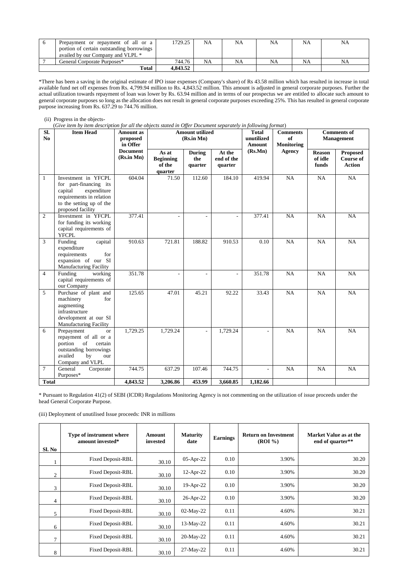| Prepayment or repayment of all or a<br>portion of certain outstanding borrowings<br>availed by our Company and VLPL * | 1729.25  | NA | NA. | NA | <b>NA</b> | NA |
|-----------------------------------------------------------------------------------------------------------------------|----------|----|-----|----|-----------|----|
| General Corporate Purposes*                                                                                           | 744.76   | NA |     | NA | <b>NA</b> | NΑ |
| Total                                                                                                                 | 4.843.52 |    |     |    |           |    |

\*There has been a saving in the original estimate of IPO issue expenses (Company's share) of Rs 43.58 million which has resulted in increase in total available fund net off expenses from Rs. 4,799.94 million to Rs. 4,843.52 million. This amount is adjusted in general corporate purposes. Further the actual utilization towards repayment of loan was lower by Rs. 63.94 million and in terms of our prospectus we are entitled to allocate such amount to general corporate purposes so long as the allocation does not result in general corporate purposes exceeding 25%. This has resulted in general corporate purpose increasing from Rs. 637.29 to 744.76 million.

#### (ii) Progress in the objects-

(*Give item by item description for all the objects stated in Offer Document separately in following format*)

| SI.<br>N <sub>0</sub> | <b>Item Head</b>                                                                                                                                     | <b>Amount</b> as<br>proposed<br>in Offer | <b>Amount utilized</b><br>(Rs.in Mn)           |                                 |                                 | <b>Total</b><br>unutilized<br><b>Amount</b> | <b>Comments</b><br>of<br>Monitoring |                                   | <b>Comments of</b><br><b>Management</b>       |
|-----------------------|------------------------------------------------------------------------------------------------------------------------------------------------------|------------------------------------------|------------------------------------------------|---------------------------------|---------------------------------|---------------------------------------------|-------------------------------------|-----------------------------------|-----------------------------------------------|
|                       |                                                                                                                                                      | <b>Document</b><br>(Rs.in Mn)            | As at<br><b>Beginning</b><br>of the<br>quarter | <b>During</b><br>the<br>quarter | At the<br>end of the<br>quarter | (Rs.Mn)                                     | <b>Agency</b>                       | <b>Reason</b><br>of idle<br>funds | <b>Proposed</b><br><b>Course of</b><br>Action |
| $\mathbf{1}$          | Investment in YFCPL<br>for part-financing its<br>expenditure<br>capital<br>requirements in relation<br>to the setting up of the<br>proposed facility | 604.04                                   | 71.50                                          | 112.60                          | 184.10                          | 419.94                                      | NA                                  | NA                                | NA                                            |
| $\overline{2}$        | Investment in YFCPL<br>for funding its working<br>capital requirements of<br><b>YFCPL</b>                                                            | 377.41                                   |                                                |                                 |                                 | 377.41                                      | NA                                  | NA                                | NA                                            |
| 3                     | Funding<br>capital<br>expenditure<br>requirements<br>for<br>expansion of our SI<br><b>Manufacturing Facility</b>                                     | 910.63                                   | 721.81                                         | 188.82                          | 910.53                          | 0.10                                        | NA                                  | NA                                | NA                                            |
| $\overline{4}$        | Funding<br>working<br>capital requirements of<br>our Company                                                                                         | 351.78                                   |                                                |                                 |                                 | 351.78                                      | NA                                  | NA                                | NA                                            |
| $\mathfrak{F}$        | Purchase of plant and<br>machinery<br>for<br>augmenting<br>infrastructure<br>development at our SI<br><b>Manufacturing Facility</b>                  | 125.65                                   | 47.01                                          | 45.21                           | 92.22                           | 33.43                                       | <b>NA</b>                           | <b>NA</b>                         | NA                                            |
| 6                     | Prepayment<br><b>or</b><br>repayment of all or a<br>portion<br>of<br>certain<br>outstanding borrowings<br>availed<br>by<br>our<br>Company and VLPL   | 1,729.25                                 | 1,729.24                                       |                                 | 1,729.24                        |                                             | NA                                  | NA                                | NA                                            |
| $\tau$                | General<br>Corporate<br>Purposes*                                                                                                                    | 744.75                                   | 637.29                                         | 107.46                          | 744.75                          | ÷,                                          | NA                                  | NA                                | <b>NA</b>                                     |
| <b>Total</b>          |                                                                                                                                                      | 4,843.52                                 | 3.206.86                                       | 453.99                          | 3,660.85                        | 1.182.66                                    |                                     |                                   |                                               |

\* Pursuant to Regulation 41(2) of SEBI (ICDR) Regulations Monitoring Agency is not commenting on the utilization of issue proceeds under the head General Corporate Purpose.

(iii) Deployment of unutilised Issue proceeds: INR in millions

| Sl. No        | <b>Type of instrument where</b><br>amount invested* | Amount<br>invested | <b>Maturity</b><br>date | <b>Earnings</b> | <b>Return on Investment</b><br>(ROI %) | Market Value as at the<br>end of quarter** |
|---------------|-----------------------------------------------------|--------------------|-------------------------|-----------------|----------------------------------------|--------------------------------------------|
|               | Fixed Deposit-RBL                                   | 30.10              | 05-Apr-22               | 0.10            | 3.90%                                  | 30.20                                      |
| 2             | <b>Fixed Deposit-RBL</b>                            | 30.10              | $12-Apr-22$             | 0.10            | 3.90%                                  | 30.20                                      |
| 3             | <b>Fixed Deposit-RBL</b>                            | 30.10              | $19-Apr-22$             | 0.10            | 3.90%                                  | 30.20                                      |
| 4             | <b>Fixed Deposit-RBL</b>                            | 30.10              | 26-Apr-22               | 0.10            | 3.90%                                  | 30.20                                      |
| 5             | <b>Fixed Deposit-RBL</b>                            | 30.10              | $02$ -May-22            | 0.11            | 4.60%                                  | 30.21                                      |
| 6             | Fixed Deposit-RBL                                   | 30.10              | 13-May-22               | 0.11            | 4.60%                                  | 30.21                                      |
| $\mathcal{I}$ | <b>Fixed Deposit-RBL</b>                            | 30.10              | 20-May-22               | 0.11            | 4.60%                                  | 30.21                                      |
| 8             | <b>Fixed Deposit-RBL</b>                            | 30.10              | 27-May-22               | 0.11            | 4.60%                                  | 30.21                                      |